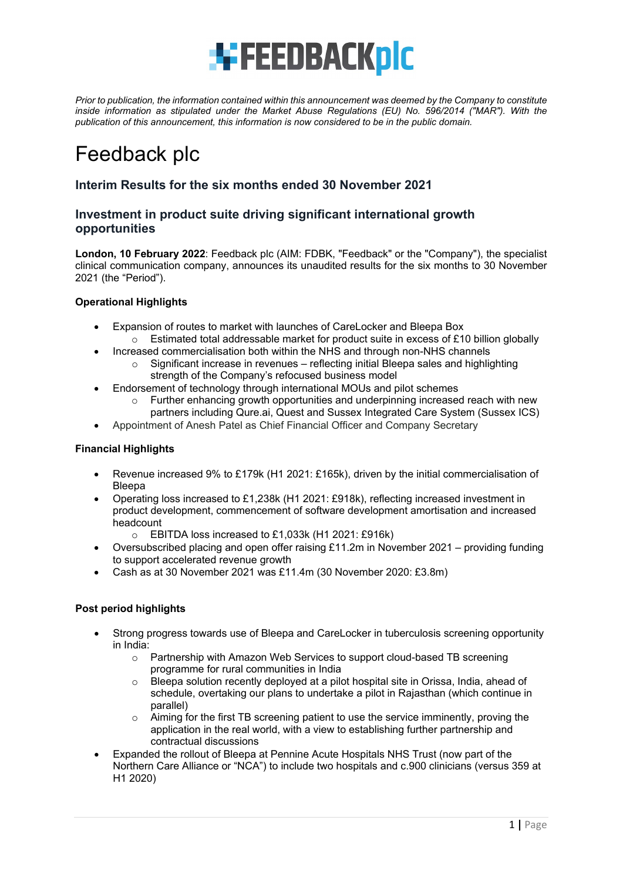

*Prior to publication, the information contained within this announcement was deemed by the Company to constitute inside information as stipulated under the Market Abuse Regulations (EU) No. 596/2014 ("MAR"). With the publication of this announcement, this information is now considered to be in the public domain.*

# Feedback plc

## **Interim Results for the six months ended 30 November 2021**

#### **Investment in product suite driving significant international growth opportunities**

**London, 10 February 2022**: Feedback plc (AIM: FDBK, "Feedback" or the "Company"), the specialist clinical communication company, announces its unaudited results for the six months to 30 November 2021 (the "Period").

#### **Operational Highlights**

- Expansion of routes to market with launches of CareLocker and Bleepa Box
	- $\circ$  Estimated total addressable market for product suite in excess of £10 billion globally
- Increased commercialisation both within the NHS and through non-NHS channels  $\circ$  Significant increase in revenues – reflecting initial Bleepa sales and highlighting
	- strength of the Company's refocused business model
- Endorsement of technology through international MOUs and pilot schemes
	- $\circ$  Further enhancing growth opportunities and underpinning increased reach with new partners including Qure.ai, Quest and Sussex Integrated Care System (Sussex ICS)
- Appointment of Anesh Patel as Chief Financial Officer and Company Secretary

#### **Financial Highlights**

- Revenue increased 9% to £179k (H1 2021: £165k), driven by the initial commercialisation of Bleepa
- Operating loss increased to £1,238k (H1 2021: £918k), reflecting increased investment in product development, commencement of software development amortisation and increased headcount
	- $\circ$  EBITDA loss increased to £1,033k (H1 2021: £916k)
- Oversubscribed placing and open offer raising £11.2m in November 2021 providing funding to support accelerated revenue growth
- Cash as at 30 November 2021 was £11.4m (30 November 2020: £3.8m)

#### **Post period highlights**

- Strong progress towards use of Bleepa and CareLocker in tuberculosis screening opportunity in India:
	- o Partnership with Amazon Web Services to support cloud-based TB screening programme for rural communities in India
	- $\circ$  Bleepa solution recently deployed at a pilot hospital site in Orissa, India, ahead of schedule, overtaking our plans to undertake a pilot in Rajasthan (which continue in parallel)
	- $\circ$  Aiming for the first TB screening patient to use the service imminently, proving the application in the real world, with a view to establishing further partnership and contractual discussions
- Expanded the rollout of Bleepa at Pennine Acute Hospitals NHS Trust (now part of the Northern Care Alliance or "NCA") to include two hospitals and c.900 clinicians (versus 359 at H1 2020)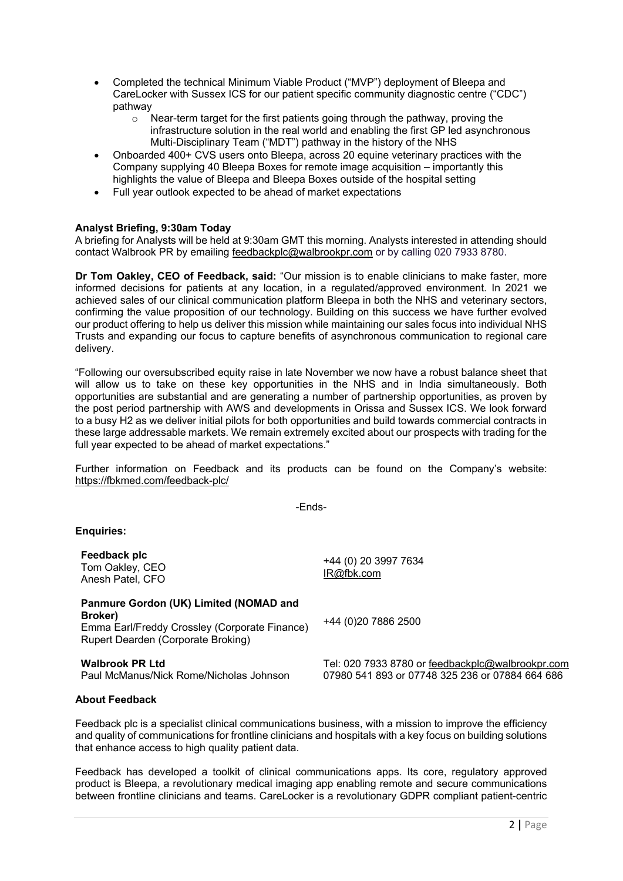- Completed the technical Minimum Viable Product ("MVP") deployment of Bleepa and CareLocker with Sussex ICS for our patient specific community diagnostic centre ("CDC") pathway
	- o Near-term target for the first patients going through the pathway, proving the infrastructure solution in the real world and enabling the first GP led asynchronous Multi-Disciplinary Team ("MDT") pathway in the history of the NHS
- Onboarded 400+ CVS users onto Bleepa, across 20 equine veterinary practices with the Company supplying 40 Bleepa Boxes for remote image acquisition – importantly this highlights the value of Bleepa and Bleepa Boxes outside of the hospital setting
- Full year outlook expected to be ahead of market expectations

#### **Analyst Briefing, 9:30am Today**

A briefing for Analysts will be held at 9:30am GMT this morning. Analysts interested in attending should contact Walbrook PR by emailing [feedbackplc@walbrookpr.com](mailto:feedbackplc@walbrookpr.com) or by calling 020 7933 8780.

**Dr Tom Oakley, CEO of Feedback, said:** "Our mission is to enable clinicians to make faster, more informed decisions for patients at any location, in a regulated/approved environment. In 2021 we achieved sales of our clinical communication platform Bleepa in both the NHS and veterinary sectors, confirming the value proposition of our technology. Building on this success we have further evolved our product offering to help us deliver this mission while maintaining our sales focus into individual NHS Trusts and expanding our focus to capture benefits of asynchronous communication to regional care delivery.

"Following our oversubscribed equity raise in late November we now have a robust balance sheet that will allow us to take on these key opportunities in the NHS and in India simultaneously. Both opportunities are substantial and are generating a number of partnership opportunities, as proven by the post period partnership with AWS and developments in Orissa and Sussex ICS. We look forward to a busy H2 as we deliver initial pilots for both opportunities and build towards commercial contracts in these large addressable markets. We remain extremely excited about our prospects with trading for the full year expected to be ahead of market expectations."

Further information on Feedback and its products can be found on the Company's website: <https://fbkmed.com/feedback-plc/>

-Ends-

+44 (0) 20 3997 7634

+44 (0)20 7886 2500

[IR@fbk.com](mailto:IR@fbk.com)

#### **Enquiries:**

**Feedback plc** Tom Oakley, CEO Anesh Patel, CFO

**Panmure Gordon (UK) Limited (NOMAD and Broker)** Emma Earl/Freddy Crossley (Corporate Finance) Rupert Dearden (Corporate Broking)

**Walbrook PR Ltd**<br>
Paul McManus/Nick Rome/Nicholas Johnson 07980 541 893 or 07748 325 236 or 07884 664 686 07980 541 893 or 07748 325 236 or 07884 664 686

#### **About Feedback**

Feedback plc is a specialist clinical communications business, with a mission to improve the efficiency and quality of communications for frontline clinicians and hospitals with a key focus on building solutions that enhance access to high quality patient data.

Feedback has developed a toolkit of clinical communications apps. Its core, regulatory approved product is Bleepa, a revolutionary medical imaging app enabling remote and secure communications between frontline clinicians and teams. CareLocker is a revolutionary GDPR compliant patient-centric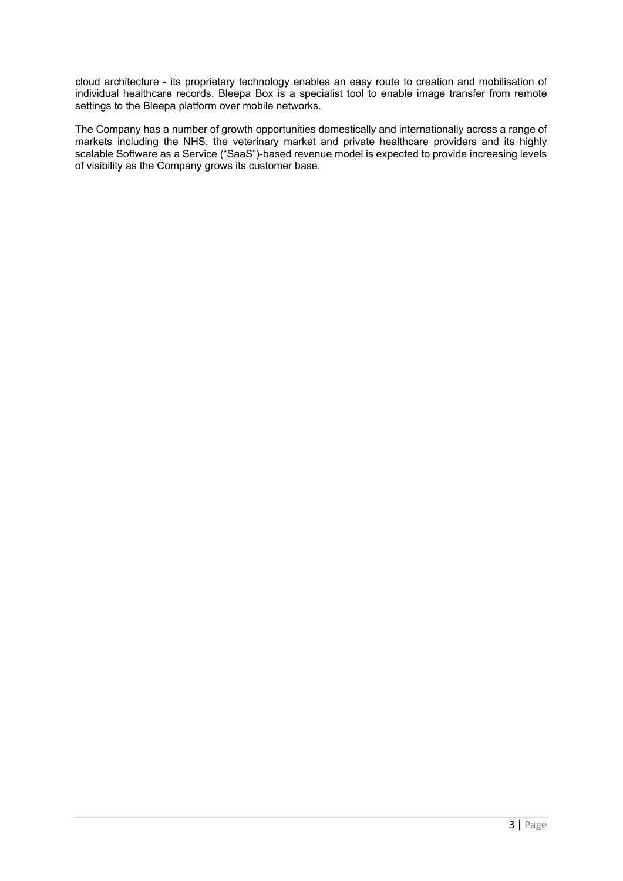cloud architecture - its proprietary technology enables an easy route to creation and mobilisation of individual healthcare records. Bleepa Box is a specialist tool to enable image transfer from remote settings to the Bleepa platform over mobile networks.

The Company has a number of growth opportunities domestically and internationally across a range of markets including the NHS, the veterinary market and private healthcare providers and its highly scalable Software as a Service ("SaaS")-based revenue model is expected to provide increasing levels of visibility as the Company grows its customer base.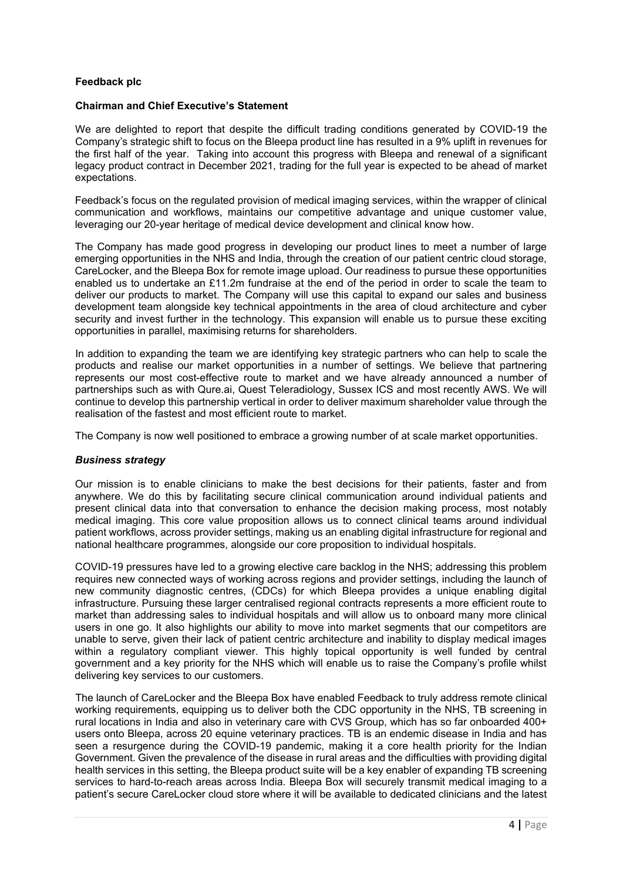#### **Feedback plc**

#### **Chairman and Chief Executive's Statement**

We are delighted to report that despite the difficult trading conditions generated by COVID-19 the Company's strategic shift to focus on the Bleepa product line has resulted in a 9% uplift in revenues for the first half of the year. Taking into account this progress with Bleepa and renewal of a significant legacy product contract in December 2021, trading for the full year is expected to be ahead of market expectations.

Feedback's focus on the regulated provision of medical imaging services, within the wrapper of clinical communication and workflows, maintains our competitive advantage and unique customer value, leveraging our 20-year heritage of medical device development and clinical know how.

The Company has made good progress in developing our product lines to meet a number of large emerging opportunities in the NHS and India, through the creation of our patient centric cloud storage, CareLocker, and the Bleepa Box for remote image upload. Our readiness to pursue these opportunities enabled us to undertake an £11.2m fundraise at the end of the period in order to scale the team to deliver our products to market. The Company will use this capital to expand our sales and business development team alongside key technical appointments in the area of cloud architecture and cyber security and invest further in the technology. This expansion will enable us to pursue these exciting opportunities in parallel, maximising returns for shareholders.

In addition to expanding the team we are identifying key strategic partners who can help to scale the products and realise our market opportunities in a number of settings. We believe that partnering represents our most cost-effective route to market and we have already announced a number of partnerships such as with Qure.ai, Quest Teleradiology, Sussex ICS and most recently AWS. We will continue to develop this partnership vertical in order to deliver maximum shareholder value through the realisation of the fastest and most efficient route to market.

The Company is now well positioned to embrace a growing number of at scale market opportunities.

#### *Business strategy*

Our mission is to enable clinicians to make the best decisions for their patients, faster and from anywhere. We do this by facilitating secure clinical communication around individual patients and present clinical data into that conversation to enhance the decision making process, most notably medical imaging. This core value proposition allows us to connect clinical teams around individual patient workflows, across provider settings, making us an enabling digital infrastructure for regional and national healthcare programmes, alongside our core proposition to individual hospitals.

COVID-19 pressures have led to a growing elective care backlog in the NHS; addressing this problem requires new connected ways of working across regions and provider settings, including the launch of new community diagnostic centres, (CDCs) for which Bleepa provides a unique enabling digital infrastructure. Pursuing these larger centralised regional contracts represents a more efficient route to market than addressing sales to individual hospitals and will allow us to onboard many more clinical users in one go. It also highlights our ability to move into market segments that our competitors are unable to serve, given their lack of patient centric architecture and inability to display medical images within a regulatory compliant viewer. This highly topical opportunity is well funded by central government and a key priority for the NHS which will enable us to raise the Company's profile whilst delivering key services to our customers.

The launch of CareLocker and the Bleepa Box have enabled Feedback to truly address remote clinical working requirements, equipping us to deliver both the CDC opportunity in the NHS, TB screening in rural locations in India and also in veterinary care with CVS Group, which has so far onboarded 400+ users onto Bleepa, across 20 equine veterinary practices. TB is an endemic disease in India and has seen a resurgence during the COVID-19 pandemic, making it a core health priority for the Indian Government. Given the prevalence of the disease in rural areas and the difficulties with providing digital health services in this setting, the Bleepa product suite will be a key enabler of expanding TB screening services to hard-to-reach areas across India. Bleepa Box will securely transmit medical imaging to a patient's secure CareLocker cloud store where it will be available to dedicated clinicians and the latest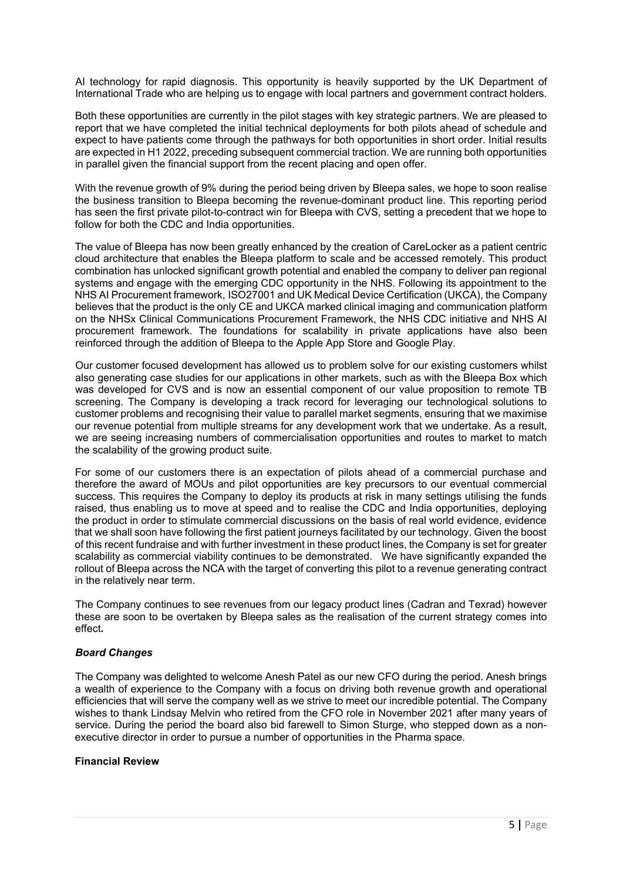AI technology for rapid diagnosis. This opportunity is heavily supported by the UK Department of International Trade who are helping us to engage with local partners and government contract holders.

Both these opportunities are currently in the pilot stages with key strategic partners. We are pleased to report that we have completed the initial technical deployments for both pilots ahead of schedule and expect to have patients come through the pathways for both opportunities in short order. Initial results are expected in H1 2022, preceding subsequent commercial traction. We are running both opportunities in parallel given the financial support from the recent placing and open offer.

With the revenue growth of 9% during the period being driven by Bleepa sales, we hope to soon realise the business transition to Bleepa becoming the revenue-dominant product line. This reporting period has seen the first private pilot-to-contract win for Bleepa with CVS, setting a precedent that we hope to follow for both the CDC and India opportunities.

The value of Bleepa has now been greatly enhanced by the creation of CareLocker as a patient centric cloud architecture that enables the Bleepa platform to scale and be accessed remotely. This product combination has unlocked significant growth potential and enabled the company to deliver pan regional systems and engage with the emerging CDC opportunity in the NHS. Following its appointment to the NHS AI Procurement framework, ISO27001 and UK Medical Device Certification (UKCA), the Company believes that the product is the only CE and UKCA marked clinical imaging and communication platform on the NHSx Clinical Communications Procurement Framework, the NHS CDC initiative and NHS AI procurement framework. The foundations for scalability in private applications have also been reinforced through the addition of Bleepa to the Apple App Store and Google Play.

Our customer focused development has allowed us to problem solve for our existing customers whilst also generating case studies for our applications in other markets, such as with the Bleepa Box which was developed for CVS and is now an essential component of our value proposition to remote TB screening. The Company is developing a track record for leveraging our technological solutions to customer problems and recognising their value to parallel market segments, ensuring that we maximise our revenue potential from multiple streams for any development work that we undertake. As a result, we are seeing increasing numbers of commercialisation opportunities and routes to market to match the scalability of the growing product suite.

For some of our customers there is an expectation of pilots ahead of a commercial purchase and therefore the award of MOUs and pilot opportunities are key precursors to our eventual commercial success. This requires the Company to deploy its products at risk in many settings utilising the funds raised, thus enabling us to move at speed and to realise the CDC and India opportunities, deploying the product in order to stimulate commercial discussions on the basis of real world evidence, evidence that we shall soon have following the first patient journeys facilitated by our technology. Given the boost of this recent fundraise and with further investment in these product lines, the Company is set for greater scalability as commercial viability continues to be demonstrated. We have significantly expanded the rollout of Bleepa across the NCA with the target of converting this pilot to a revenue generating contract in the relatively near term.

The Company continues to see revenues from our legacy product lines (Cadran and Texrad) however these are soon to be overtaken by Bleepa sales as the realisation of the current strategy comes into effect**.**

#### *Board Changes*

The Company was delighted to welcome Anesh Patel as our new CFO during the period. Anesh brings a wealth of experience to the Company with a focus on driving both revenue growth and operational efficiencies that will serve the company well as we strive to meet our incredible potential. The Company wishes to thank Lindsay Melvin who retired from the CFO role in November 2021 after many years of service. During the period the board also bid farewell to Simon Sturge, who stepped down as a nonexecutive director in order to pursue a number of opportunities in the Pharma space.

#### **Financial Review**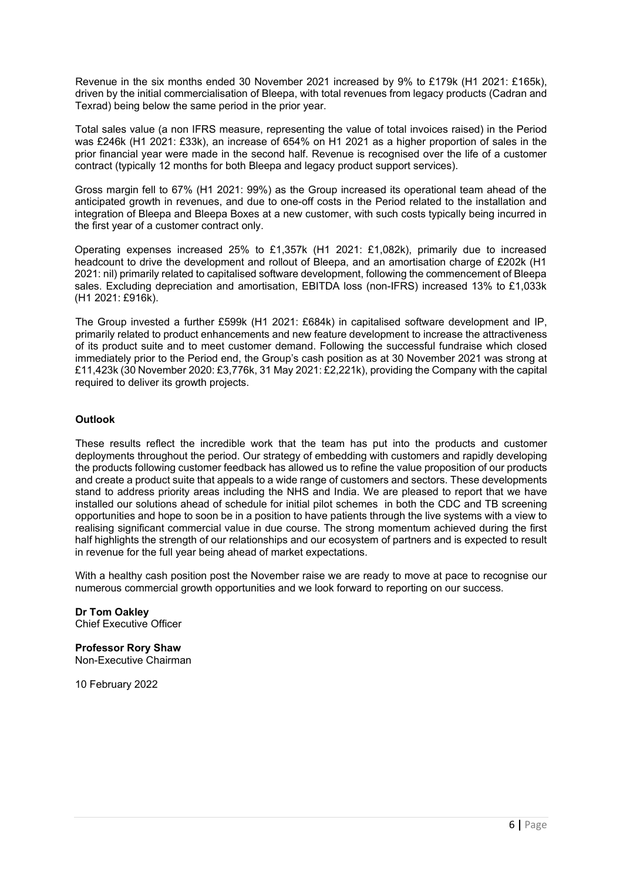Revenue in the six months ended 30 November 2021 increased by 9% to £179k (H1 2021: £165k), driven by the initial commercialisation of Bleepa, with total revenues from legacy products (Cadran and Texrad) being below the same period in the prior year.

Total sales value (a non IFRS measure, representing the value of total invoices raised) in the Period was £246k (H1 2021: £33k), an increase of 654% on H1 2021 as a higher proportion of sales in the prior financial year were made in the second half. Revenue is recognised over the life of a customer contract (typically 12 months for both Bleepa and legacy product support services).

Gross margin fell to 67% (H1 2021: 99%) as the Group increased its operational team ahead of the anticipated growth in revenues, and due to one-off costs in the Period related to the installation and integration of Bleepa and Bleepa Boxes at a new customer, with such costs typically being incurred in the first year of a customer contract only.

Operating expenses increased 25% to £1,357k (H1 2021: £1,082k), primarily due to increased headcount to drive the development and rollout of Bleepa, and an amortisation charge of £202k (H1 2021: nil) primarily related to capitalised software development, following the commencement of Bleepa sales. Excluding depreciation and amortisation, EBITDA loss (non-IFRS) increased 13% to £1,033k (H1 2021: £916k).

The Group invested a further £599k (H1 2021: £684k) in capitalised software development and IP, primarily related to product enhancements and new feature development to increase the attractiveness of its product suite and to meet customer demand. Following the successful fundraise which closed immediately prior to the Period end, the Group's cash position as at 30 November 2021 was strong at £11,423k (30 November 2020: £3,776k, 31 May 2021: £2,221k), providing the Company with the capital required to deliver its growth projects.

#### **Outlook**

These results reflect the incredible work that the team has put into the products and customer deployments throughout the period. Our strategy of embedding with customers and rapidly developing the products following customer feedback has allowed us to refine the value proposition of our products and create a product suite that appeals to a wide range of customers and sectors. These developments stand to address priority areas including the NHS and India. We are pleased to report that we have installed our solutions ahead of schedule for initial pilot schemes in both the CDC and TB screening opportunities and hope to soon be in a position to have patients through the live systems with a view to realising significant commercial value in due course. The strong momentum achieved during the first half highlights the strength of our relationships and our ecosystem of partners and is expected to result in revenue for the full year being ahead of market expectations.

With a healthy cash position post the November raise we are ready to move at pace to recognise our numerous commercial growth opportunities and we look forward to reporting on our success.

**Dr Tom Oakley** Chief Executive Officer

**Professor Rory Shaw** Non-Executive Chairman

10 February 2022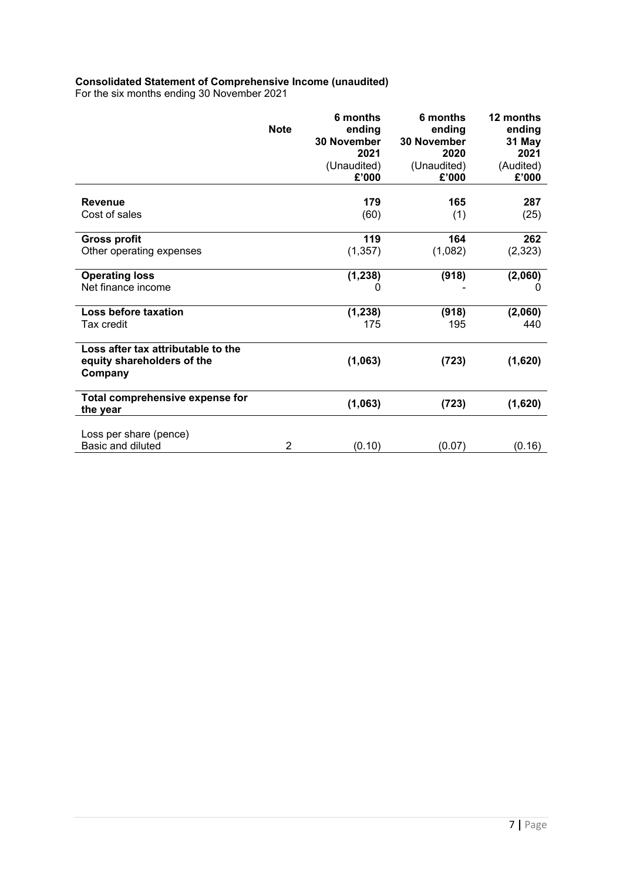#### **Consolidated Statement of Comprehensive Income (unaudited)**

For the six months ending 30 November 2021

|                                                                             | <b>Note</b> | 6 months<br>ending<br><b>30 November</b><br>2021<br>(Unaudited)<br>£'000 | 6 months<br>ending<br><b>30 November</b><br>2020<br>(Unaudited)<br>£'000 | 12 months<br>ending<br>31 May<br>2021<br>(Audited)<br>£'000 |
|-----------------------------------------------------------------------------|-------------|--------------------------------------------------------------------------|--------------------------------------------------------------------------|-------------------------------------------------------------|
| <b>Revenue</b>                                                              |             | 179                                                                      | 165                                                                      | 287                                                         |
| Cost of sales                                                               |             | (60)                                                                     | (1)                                                                      | (25)                                                        |
| <b>Gross profit</b>                                                         |             | 119                                                                      | 164                                                                      | 262                                                         |
| Other operating expenses                                                    |             | (1, 357)                                                                 | (1,082)                                                                  | (2, 323)                                                    |
| <b>Operating loss</b>                                                       |             | (1, 238)                                                                 | (918)                                                                    | (2,060)                                                     |
| Net finance income                                                          |             | 0                                                                        |                                                                          | 0                                                           |
| Loss before taxation                                                        |             | (1, 238)                                                                 | (918)                                                                    | (2,060)                                                     |
| Tax credit                                                                  |             | 175                                                                      | 195                                                                      | 440                                                         |
| Loss after tax attributable to the<br>equity shareholders of the<br>Company |             | (1,063)                                                                  | (723)                                                                    | (1,620)                                                     |
| Total comprehensive expense for<br>the year                                 |             | (1,063)                                                                  | (723)                                                                    | (1,620)                                                     |
| Loss per share (pence)<br><b>Basic and diluted</b>                          | 2           | (0.10)                                                                   | (0.07)                                                                   | (0.16)                                                      |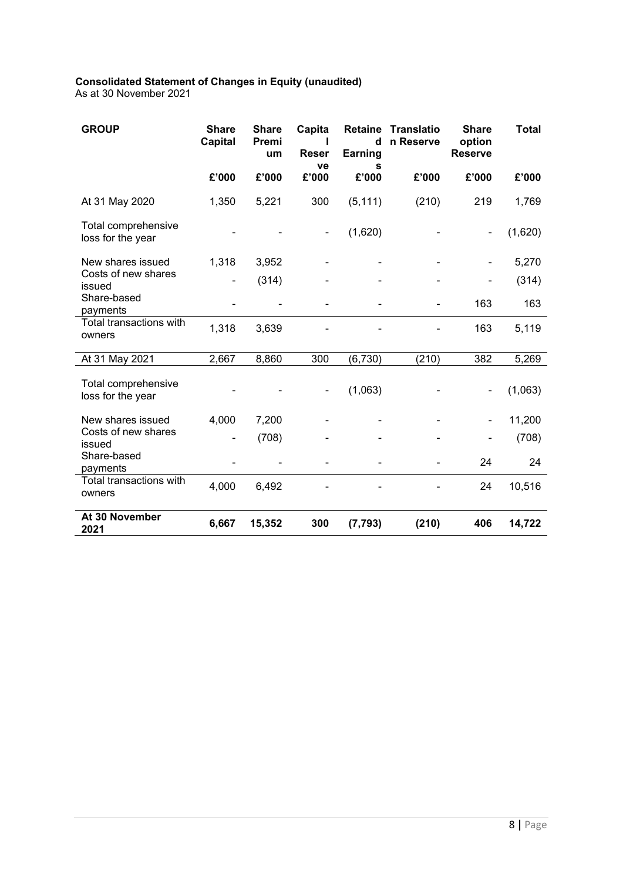# **Consolidated Statement of Changes in Equity (unaudited)**

As at 30 November 2021

| <b>GROUP</b>                             | <b>Share</b><br><b>Capital</b> | <b>Share</b><br>Premi<br>um | Capita<br>Reser<br>ve | <b>Retaine</b><br>d<br><b>Earning</b><br>s | Translatio<br>n Reserve | <b>Share</b><br>option<br><b>Reserve</b> | <b>Total</b> |
|------------------------------------------|--------------------------------|-----------------------------|-----------------------|--------------------------------------------|-------------------------|------------------------------------------|--------------|
|                                          | £'000                          | £'000                       | £'000                 | £'000                                      | £'000                   | £'000                                    | £'000        |
| At 31 May 2020                           | 1,350                          | 5,221                       | 300                   | (5, 111)                                   | (210)                   | 219                                      | 1,769        |
| Total comprehensive<br>loss for the year |                                |                             |                       | (1,620)                                    |                         |                                          | (1,620)      |
| New shares issued                        | 1,318                          | 3,952                       |                       |                                            |                         |                                          | 5,270        |
| Costs of new shares<br>issued            | ۰                              | (314)                       |                       |                                            |                         |                                          | (314)        |
| Share-based<br>payments                  |                                |                             |                       |                                            |                         | 163                                      | 163          |
| <b>Total transactions with</b><br>owners | 1,318                          | 3,639                       |                       |                                            |                         | 163                                      | 5,119        |
| At 31 May 2021                           | 2,667                          | 8,860                       | 300                   | (6, 730)                                   | (210)                   | 382                                      | 5,269        |
| Total comprehensive<br>loss for the year |                                |                             |                       | (1,063)                                    |                         |                                          | (1,063)      |
| New shares issued                        | 4,000                          | 7,200                       |                       |                                            |                         |                                          | 11,200       |
| Costs of new shares<br>issued            |                                | (708)                       |                       |                                            |                         |                                          | (708)        |
| Share-based<br>payments                  |                                |                             |                       |                                            |                         | 24                                       | 24           |
| Total transactions with<br>owners        | 4,000                          | 6,492                       |                       |                                            |                         | 24                                       | 10,516       |
| At 30 November<br>2021                   | 6,667                          | 15,352                      | 300                   | (7, 793)                                   | (210)                   | 406                                      | 14,722       |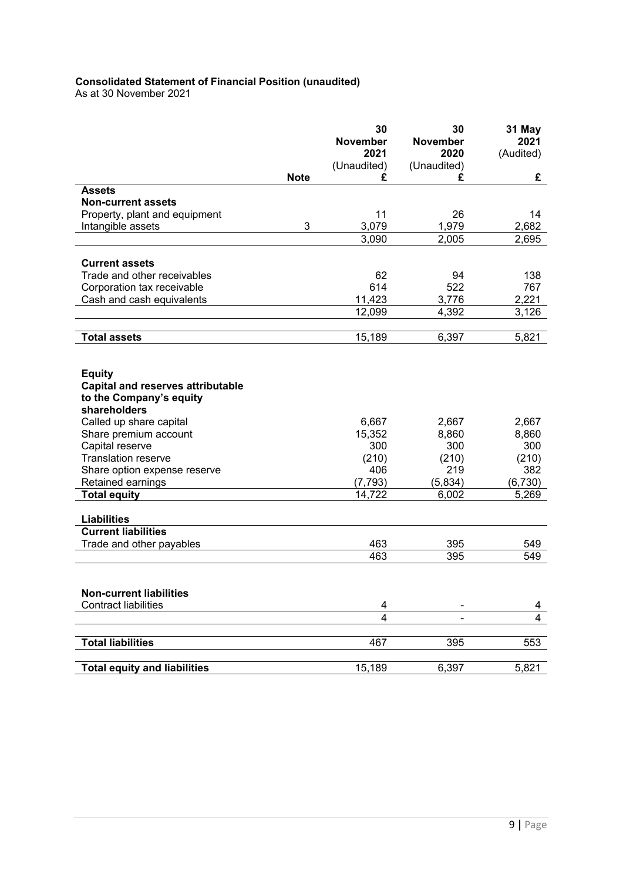#### **Consolidated Statement of Financial Position (unaudited)**

As at 30 November 2021

|                                                  |             | 30<br><b>November</b> | 30<br><b>November</b> | 31 May<br>2021 |
|--------------------------------------------------|-------------|-----------------------|-----------------------|----------------|
|                                                  |             | 2021<br>(Unaudited)   | 2020<br>(Unaudited)   | (Audited)      |
|                                                  | <b>Note</b> | £                     | £                     | £              |
| <b>Assets</b>                                    |             |                       |                       |                |
| <b>Non-current assets</b>                        |             |                       |                       |                |
| Property, plant and equipment                    |             | 11                    | 26                    | 14             |
| Intangible assets                                | 3           | 3,079<br>3,090        | 1,979<br>2,005        | 2,682          |
|                                                  |             |                       |                       | 2,695          |
| <b>Current assets</b>                            |             |                       |                       |                |
| Trade and other receivables                      |             | 62                    | 94                    | 138            |
| Corporation tax receivable                       |             | 614                   | 522                   | 767            |
| Cash and cash equivalents                        |             | 11,423                | 3,776                 | 2,221          |
|                                                  |             | 12,099                | 4,392                 | 3,126          |
|                                                  |             |                       |                       |                |
| <b>Total assets</b>                              |             | 15,189                | 6,397                 | 5,821          |
|                                                  |             |                       |                       |                |
| <b>Equity</b>                                    |             |                       |                       |                |
| <b>Capital and reserves attributable</b>         |             |                       |                       |                |
| to the Company's equity                          |             |                       |                       |                |
| shareholders                                     |             |                       |                       |                |
| Called up share capital<br>Share premium account |             | 6,667<br>15,352       | 2,667<br>8,860        | 2,667<br>8,860 |
| Capital reserve                                  |             | 300                   | 300                   | 300            |
| <b>Translation reserve</b>                       |             | (210)                 | (210)                 | (210)          |
| Share option expense reserve                     |             | 406                   | 219                   | 382            |
| Retained earnings                                |             | (7, 793)              | (5,834)               | (6, 730)       |
| <b>Total equity</b>                              |             | 14,722                | 6,002                 | 5,269          |
|                                                  |             |                       |                       |                |
| <b>Liabilities</b><br><b>Current liabilities</b> |             |                       |                       |                |
| Trade and other payables                         |             | 463                   | 395                   | 549            |
|                                                  |             | 463                   | 395                   | 549            |
|                                                  |             |                       |                       |                |
|                                                  |             |                       |                       |                |
| <b>Non-current liabilities</b>                   |             |                       |                       |                |
| <b>Contract liabilities</b>                      |             | 4<br>4                |                       | 4              |
|                                                  |             |                       |                       | $\overline{4}$ |
| <b>Total liabilities</b>                         |             | 467                   | 395                   | 553            |
|                                                  |             |                       |                       |                |
| <b>Total equity and liabilities</b>              |             | 15,189                | 6,397                 | 5,821          |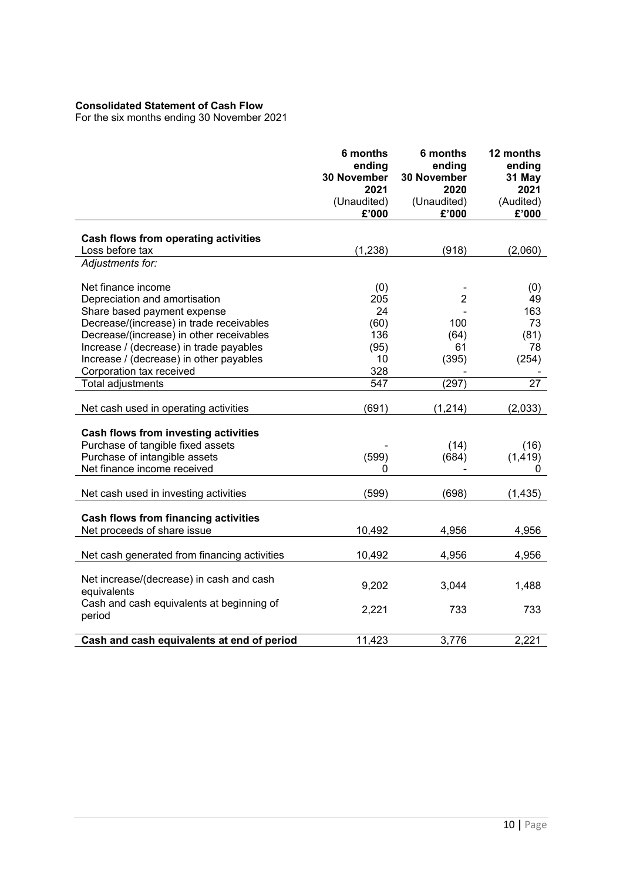### **Consolidated Statement of Cash Flow**

For the six months ending 30 November 2021

|                                                         | 6 months<br>ending<br>30 November<br>2021<br>(Unaudited)<br>£'000 | 6 months<br>ending<br>30 November<br>2020<br>(Unaudited)<br>£'000 | 12 months<br>ending<br>31 May<br>2021<br>(Audited)<br>£'000 |
|---------------------------------------------------------|-------------------------------------------------------------------|-------------------------------------------------------------------|-------------------------------------------------------------|
|                                                         |                                                                   |                                                                   |                                                             |
| Cash flows from operating activities<br>Loss before tax | (1,238)                                                           | (918)                                                             | (2,060)                                                     |
| Adjustments for:                                        |                                                                   |                                                                   |                                                             |
|                                                         |                                                                   |                                                                   |                                                             |
| Net finance income                                      | (0)                                                               |                                                                   | (0)                                                         |
| Depreciation and amortisation                           | 205                                                               | $\overline{2}$                                                    | 49                                                          |
| Share based payment expense                             | 24                                                                |                                                                   | 163                                                         |
| Decrease/(increase) in trade receivables                | (60)                                                              | 100                                                               | 73                                                          |
| Decrease/(increase) in other receivables                | 136                                                               | (64)                                                              | (81)                                                        |
| Increase / (decrease) in trade payables                 | (95)                                                              | 61                                                                | 78                                                          |
| Increase / (decrease) in other payables                 | 10                                                                | (395)                                                             | (254)                                                       |
| Corporation tax received                                | 328                                                               |                                                                   |                                                             |
| Total adjustments                                       | 547                                                               | (297)                                                             | 27                                                          |
|                                                         |                                                                   |                                                                   |                                                             |
| Net cash used in operating activities                   | (691)                                                             | (1, 214)                                                          | (2,033)                                                     |
|                                                         |                                                                   |                                                                   |                                                             |
| Cash flows from investing activities                    |                                                                   |                                                                   |                                                             |
| Purchase of tangible fixed assets                       |                                                                   | (14)                                                              | (16)                                                        |
| Purchase of intangible assets                           | (599)                                                             | (684)                                                             | (1, 419)                                                    |
| Net finance income received                             | 0                                                                 |                                                                   | 0                                                           |
| Net cash used in investing activities                   | (599)                                                             | (698)                                                             | (1, 435)                                                    |
|                                                         |                                                                   |                                                                   |                                                             |
| <b>Cash flows from financing activities</b>             |                                                                   |                                                                   |                                                             |
| Net proceeds of share issue                             | 10,492                                                            | 4,956                                                             | 4,956                                                       |
|                                                         |                                                                   |                                                                   |                                                             |
| Net cash generated from financing activities            | 10,492                                                            | 4,956                                                             | 4,956                                                       |
|                                                         |                                                                   |                                                                   |                                                             |
| Net increase/(decrease) in cash and cash                | 9,202                                                             | 3,044                                                             | 1,488                                                       |
| equivalents                                             |                                                                   |                                                                   |                                                             |
| Cash and cash equivalents at beginning of               | 2,221                                                             | 733                                                               | 733                                                         |
| period                                                  |                                                                   |                                                                   |                                                             |
|                                                         |                                                                   |                                                                   |                                                             |
| Cash and cash equivalents at end of period              | 11,423                                                            | 3,776                                                             | 2,221                                                       |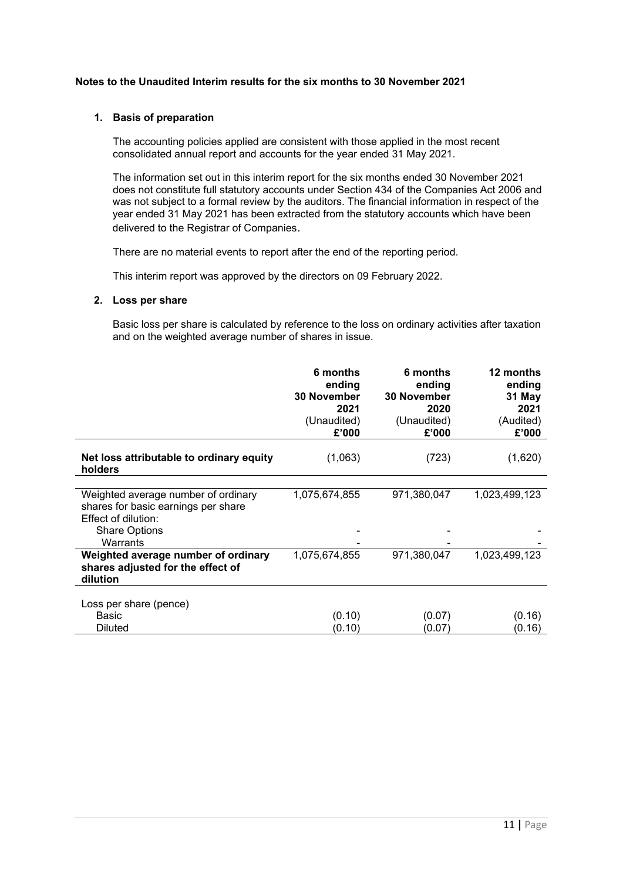#### **Notes to the Unaudited Interim results for the six months to 30 November 2021**

#### **1. Basis of preparation**

The accounting policies applied are consistent with those applied in the most recent consolidated annual report and accounts for the year ended 31 May 2021.

The information set out in this interim report for the six months ended 30 November 2021 does not constitute full statutory accounts under Section 434 of the Companies Act 2006 and was not subject to a formal review by the auditors. The financial information in respect of the year ended 31 May 2021 has been extracted from the statutory accounts which have been delivered to the Registrar of Companies.

There are no material events to report after the end of the reporting period.

This interim report was approved by the directors on 09 February 2022.

#### **2. Loss per share**

Basic loss per share is calculated by reference to the loss on ordinary activities after taxation and on the weighted average number of shares in issue.

|                                                                                      | 6 months<br>ending<br><b>30 November</b><br>2021<br>(Unaudited)<br>£'000 | 6 months<br>ending<br><b>30 November</b><br>2020<br>(Unaudited)<br>£'000 | 12 months<br>ending<br>31 May<br>2021<br>(Audited)<br>£'000 |
|--------------------------------------------------------------------------------------|--------------------------------------------------------------------------|--------------------------------------------------------------------------|-------------------------------------------------------------|
| Net loss attributable to ordinary equity<br>holders                                  | (1,063)                                                                  | (723)                                                                    | (1,620)                                                     |
| Weighted average number of ordinary                                                  | 1,075,674,855                                                            | 971,380,047                                                              | 1,023,499,123                                               |
| shares for basic earnings per share<br>Effect of dilution:                           |                                                                          |                                                                          |                                                             |
| <b>Share Options</b><br>Warrants                                                     |                                                                          |                                                                          |                                                             |
| Weighted average number of ordinary<br>shares adjusted for the effect of<br>dilution | 1,075,674,855                                                            | 971,380,047                                                              | 1,023,499,123                                               |
| Loss per share (pence)                                                               |                                                                          |                                                                          |                                                             |
| Basic                                                                                | (0.10)                                                                   | (0.07)                                                                   | (0.16)                                                      |
| <b>Diluted</b>                                                                       | (0.10)                                                                   | (0.07)                                                                   | (0.16)                                                      |